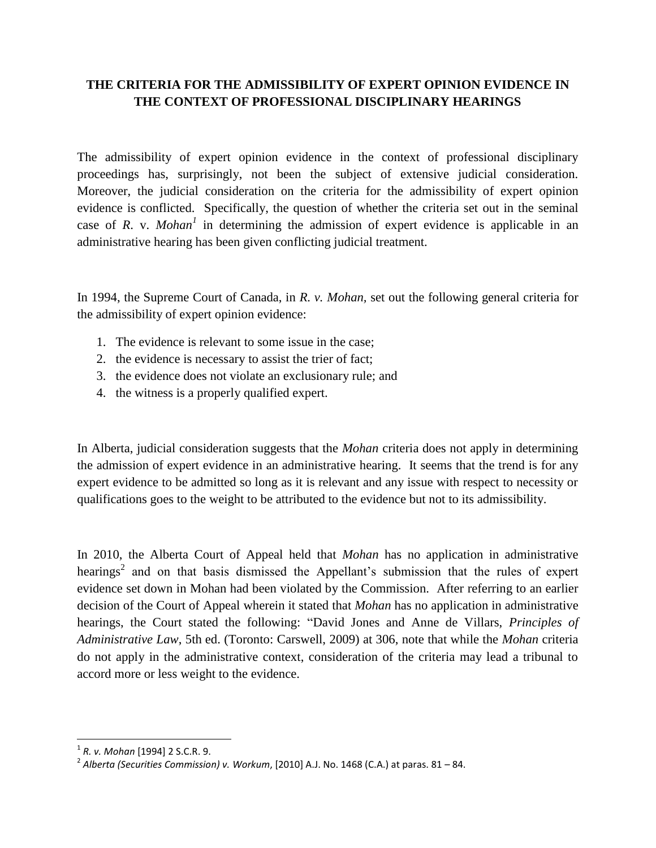## **THE CRITERIA FOR THE ADMISSIBILITY OF EXPERT OPINION EVIDENCE IN THE CONTEXT OF PROFESSIONAL DISCIPLINARY HEARINGS**

The admissibility of expert opinion evidence in the context of professional disciplinary proceedings has, surprisingly, not been the subject of extensive judicial consideration. Moreover, the judicial consideration on the criteria for the admissibility of expert opinion evidence is conflicted. Specifically, the question of whether the criteria set out in the seminal case of *R*. v. *Mohan<sup>1</sup>* in determining the admission of expert evidence is applicable in an administrative hearing has been given conflicting judicial treatment.

In 1994, the Supreme Court of Canada, in *R. v. Mohan,* set out the following general criteria for the admissibility of expert opinion evidence:

- 1. The evidence is relevant to some issue in the case;
- 2. the evidence is necessary to assist the trier of fact;
- 3. the evidence does not violate an exclusionary rule; and
- 4. the witness is a properly qualified expert.

In Alberta, judicial consideration suggests that the *Mohan* criteria does not apply in determining the admission of expert evidence in an administrative hearing. It seems that the trend is for any expert evidence to be admitted so long as it is relevant and any issue with respect to necessity or qualifications goes to the weight to be attributed to the evidence but not to its admissibility.

In 2010, the Alberta Court of Appeal held that *Mohan* has no application in administrative hearings<sup>2</sup> and on that basis dismissed the Appellant's submission that the rules of expert evidence set down in Mohan had been violated by the Commission. After referring to an earlier decision of the Court of Appeal wherein it stated that *Mohan* has no application in administrative hearings, the Court stated the following: "David Jones and Anne de Villars, *Principles of Administrative Law*, 5th ed. (Toronto: Carswell, 2009) at 306, note that while the *Mohan* criteria do not apply in the administrative context, consideration of the criteria may lead a tribunal to accord more or less weight to the evidence.

 1 *R. v. Mohan* [1994] 2 S.C.R. 9.

<sup>2</sup> *Alberta (Securities Commission) v. Workum*, [2010] A.J. No. 1468 (C.A.) at paras. 81 – 84.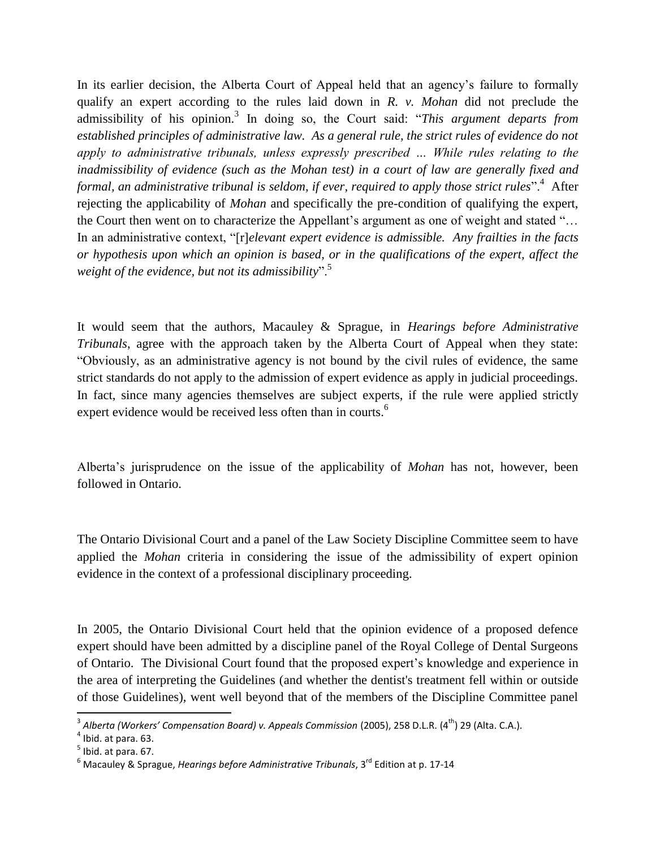In its earlier decision, the Alberta Court of Appeal held that an agency's failure to formally qualify an expert according to the rules laid down in *R. v. Mohan* did not preclude the admissibility of his opinion.<sup>3</sup> In doing so, the Court said: "*This argument departs from established principles of administrative law. As a general rule, the strict rules of evidence do not apply to administrative tribunals, unless expressly prescribed … While rules relating to the inadmissibility of evidence (such as the Mohan test) in a court of law are generally fixed and formal, an administrative tribunal is seldom, if ever, required to apply those strict rules*".<sup>4</sup> After rejecting the applicability of *Mohan* and specifically the pre-condition of qualifying the expert, the Court then went on to characterize the Appellant's argument as one of weight and stated "… In an administrative context, "[r]*elevant expert evidence is admissible. Any frailties in the facts or hypothesis upon which an opinion is based, or in the qualifications of the expert, affect the weight of the evidence, but not its admissibility*".<sup>5</sup>

It would seem that the authors, Macauley & Sprague, in *Hearings before Administrative Tribunals*, agree with the approach taken by the Alberta Court of Appeal when they state: "Obviously, as an administrative agency is not bound by the civil rules of evidence, the same strict standards do not apply to the admission of expert evidence as apply in judicial proceedings. In fact, since many agencies themselves are subject experts, if the rule were applied strictly expert evidence would be received less often than in courts.<sup>6</sup>

Alberta's jurisprudence on the issue of the applicability of *Mohan* has not, however, been followed in Ontario.

The Ontario Divisional Court and a panel of the Law Society Discipline Committee seem to have applied the *Mohan* criteria in considering the issue of the admissibility of expert opinion evidence in the context of a professional disciplinary proceeding.

In 2005, the Ontario Divisional Court held that the opinion evidence of a proposed defence expert should have been admitted by a discipline panel of the Royal College of Dental Surgeons of Ontario. The Divisional Court found that the proposed expert's knowledge and experience in the area of interpreting the Guidelines (and whether the dentist's treatment fell within or outside of those Guidelines), went well beyond that of the members of the Discipline Committee panel

 3 *Alberta (Workers' Compensation Board) v. Appeals Commission* (2005), 258 D.L.R. (4th) 29 (Alta. C.A.).

 $<sup>4</sup>$  Ibid. at para. 63.</sup>

 $<sup>5</sup>$  Ibid. at para. 67.</sup>

<sup>6</sup> Macauley & Sprague, *Hearings before Administrative Tribunals*, 3rd Edition at p. 17-14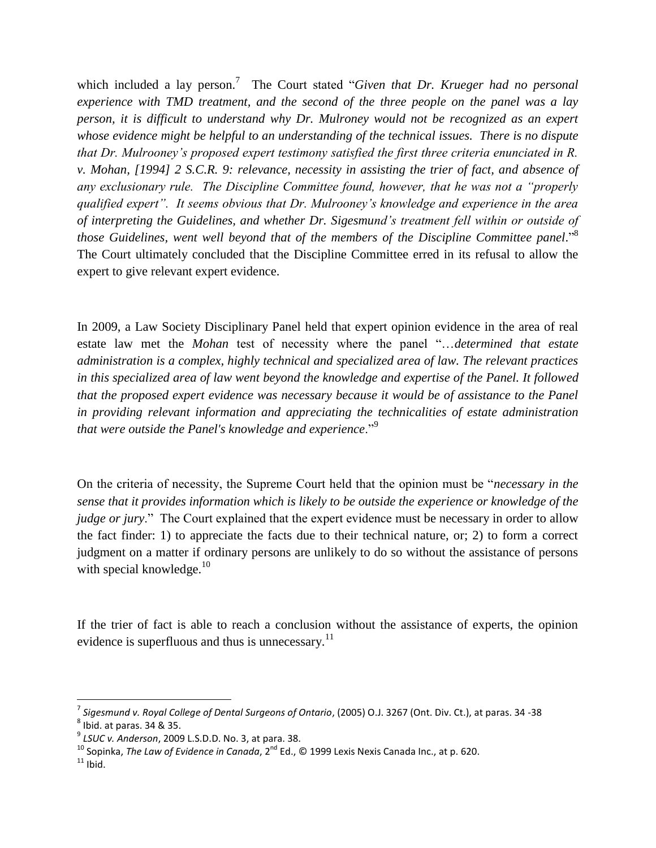which included a lay person.<sup>7</sup> The Court stated "*Given that Dr. Krueger had no personal experience with TMD treatment, and the second of the three people on the panel was a lay person, it is difficult to understand why Dr. Mulroney would not be recognized as an expert whose evidence might be helpful to an understanding of the technical issues. There is no dispute that Dr. Mulrooney's proposed expert testimony satisfied the first three criteria enunciated in R. v. Mohan, [1994] 2 S.C.R. 9: relevance, necessity in assisting the trier of fact, and absence of any exclusionary rule. The Discipline Committee found, however, that he was not a "properly qualified expert". It seems obvious that Dr. Mulrooney's knowledge and experience in the area of interpreting the Guidelines, and whether Dr. Sigesmund's treatment fell within or outside of those Guidelines, went well beyond that of the members of the Discipline Committee panel*." 8 The Court ultimately concluded that the Discipline Committee erred in its refusal to allow the expert to give relevant expert evidence.

In 2009, a Law Society Disciplinary Panel held that expert opinion evidence in the area of real estate law met the *Mohan* test of necessity where the panel "…*determined that estate administration is a complex, highly technical and specialized area of law. The relevant practices in this specialized area of law went beyond the knowledge and expertise of the Panel. It followed that the proposed expert evidence was necessary because it would be of assistance to the Panel in providing relevant information and appreciating the technicalities of estate administration that were outside the Panel's knowledge and experience*."<sup>9</sup>

On the criteria of necessity, the Supreme Court held that the opinion must be "*necessary in the sense that it provides information which is likely to be outside the experience or knowledge of the judge or jury*." The Court explained that the expert evidence must be necessary in order to allow the fact finder: 1) to appreciate the facts due to their technical nature, or; 2) to form a correct judgment on a matter if ordinary persons are unlikely to do so without the assistance of persons with special knowledge. $10<sup>10</sup>$ 

If the trier of fact is able to reach a conclusion without the assistance of experts, the opinion evidence is superfluous and thus is unnecessary. $^{11}$ 

l

<sup>7</sup> *Sigesmund v. Royal College of Dental Surgeons of Ontario*, (2005) O.J. 3267 (Ont. Div. Ct.), at paras. 34 -38  $^8$  Ibid. at paras. 34 & 35.

<sup>9</sup> *LSUC v. Anderson*, 2009 L.S.D.D. No. 3, at para. 38.

<sup>&</sup>lt;sup>10</sup> Sopinka, *The Law of Evidence in Canada*, 2<sup>nd</sup> Ed., © 1999 Lexis Nexis Canada Inc., at p. 620.

 $11$  Ibid.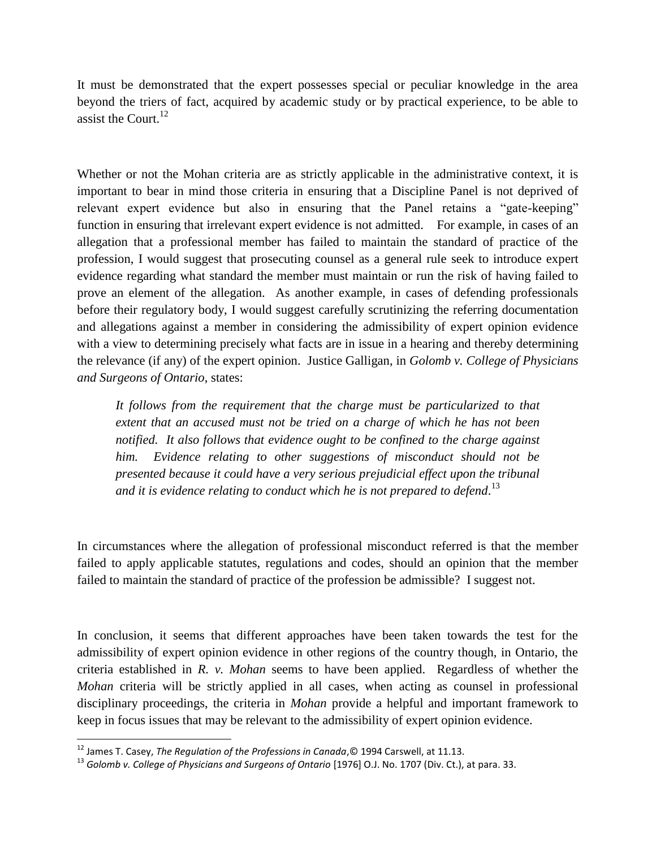It must be demonstrated that the expert possesses special or peculiar knowledge in the area beyond the triers of fact, acquired by academic study or by practical experience, to be able to assist the Court. $^{12}$ 

Whether or not the Mohan criteria are as strictly applicable in the administrative context, it is important to bear in mind those criteria in ensuring that a Discipline Panel is not deprived of relevant expert evidence but also in ensuring that the Panel retains a "gate-keeping" function in ensuring that irrelevant expert evidence is not admitted. For example, in cases of an allegation that a professional member has failed to maintain the standard of practice of the profession, I would suggest that prosecuting counsel as a general rule seek to introduce expert evidence regarding what standard the member must maintain or run the risk of having failed to prove an element of the allegation. As another example, in cases of defending professionals before their regulatory body, I would suggest carefully scrutinizing the referring documentation and allegations against a member in considering the admissibility of expert opinion evidence with a view to determining precisely what facts are in issue in a hearing and thereby determining the relevance (if any) of the expert opinion. Justice Galligan, in *Golomb v. College of Physicians and Surgeons of Ontario*, states:

*It follows from the requirement that the charge must be particularized to that extent that an accused must not be tried on a charge of which he has not been notified. It also follows that evidence ought to be confined to the charge against him. Evidence relating to other suggestions of misconduct should not be presented because it could have a very serious prejudicial effect upon the tribunal and it is evidence relating to conduct which he is not prepared to defend*. 13

In circumstances where the allegation of professional misconduct referred is that the member failed to apply applicable statutes, regulations and codes, should an opinion that the member failed to maintain the standard of practice of the profession be admissible? I suggest not.

In conclusion, it seems that different approaches have been taken towards the test for the admissibility of expert opinion evidence in other regions of the country though, in Ontario, the criteria established in *R. v. Mohan* seems to have been applied. Regardless of whether the *Mohan* criteria will be strictly applied in all cases, when acting as counsel in professional disciplinary proceedings, the criteria in *Mohan* provide a helpful and important framework to keep in focus issues that may be relevant to the admissibility of expert opinion evidence.

l

<sup>12</sup> James T. Casey, *The Regulation of the Professions in Canada*,© 1994 Carswell, at 11.13.

<sup>&</sup>lt;sup>13</sup> Golomb v. College of Physicians and Surgeons of Ontario [1976] O.J. No. 1707 (Div. Ct.), at para. 33.